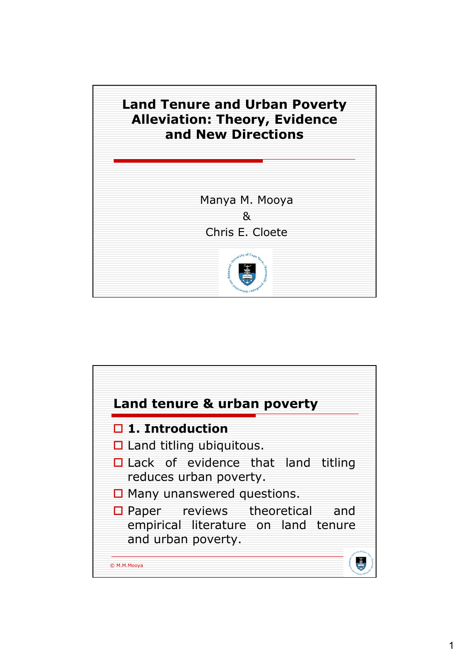

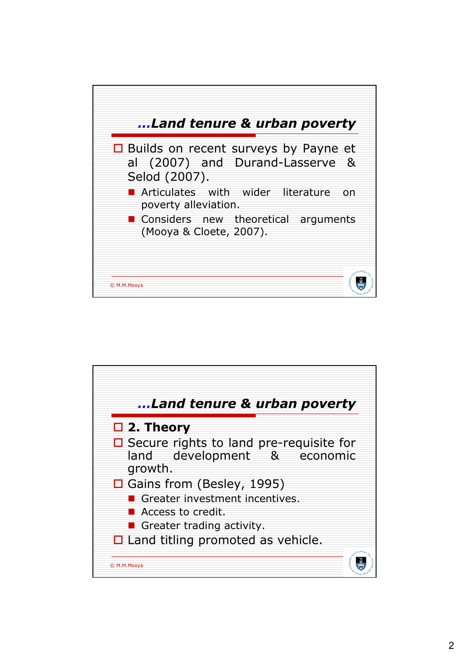

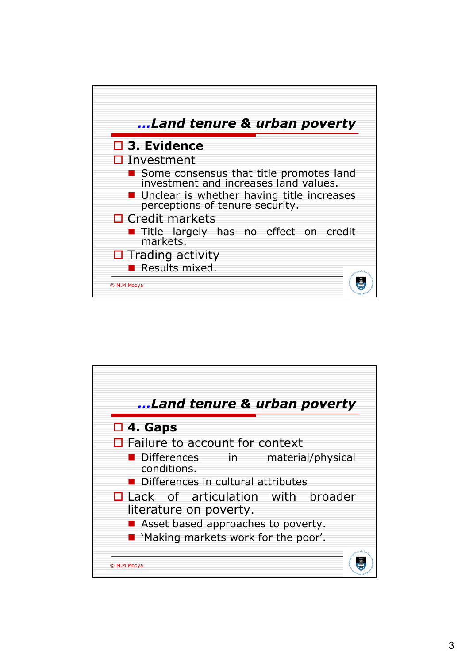